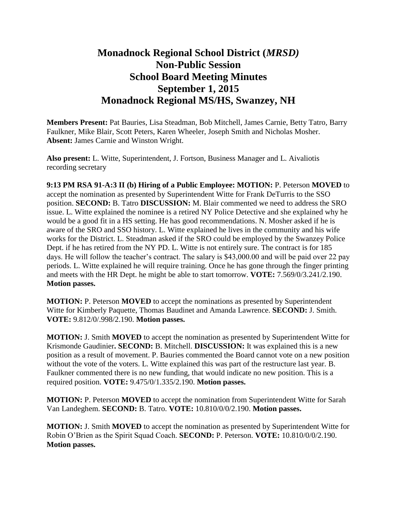## **Monadnock Regional School District (***MRSD)* **Non-Public Session School Board Meeting Minutes September 1, 2015 Monadnock Regional MS/HS, Swanzey, NH**

**Members Present:** Pat Bauries, Lisa Steadman, Bob Mitchell, James Carnie, Betty Tatro, Barry Faulkner, Mike Blair, Scott Peters, Karen Wheeler, Joseph Smith and Nicholas Mosher. **Absent:** James Carnie and Winston Wright.

**Also present:** L. Witte, Superintendent, J. Fortson, Business Manager and L. Aivaliotis recording secretary

**9:13 PM RSA 91-A:3 II (b) Hiring of a Public Employee: MOTION:** P. Peterson **MOVED** to accept the nomination as presented by Superintendent Witte for Frank DeTurris to the SSO position. **SECOND:** B. Tatro **DISCUSSION:** M. Blair commented we need to address the SRO issue. L. Witte explained the nominee is a retired NY Police Detective and she explained why he would be a good fit in a HS setting. He has good recommendations. N. Mosher asked if he is aware of the SRO and SSO history. L. Witte explained he lives in the community and his wife works for the District. L. Steadman asked if the SRO could be employed by the Swanzey Police Dept. if he has retired from the NY PD. L. Witte is not entirely sure. The contract is for 185 days. He will follow the teacher's contract. The salary is \$43,000.00 and will be paid over 22 pay periods. L. Witte explained he will require training. Once he has gone through the finger printing and meets with the HR Dept. he might be able to start tomorrow. **VOTE:** 7.569/0/3.241/2.190. **Motion passes.** 

**MOTION:** P. Peterson **MOVED** to accept the nominations as presented by Superintendent Witte for Kimberly Paquette, Thomas Baudinet and Amanda Lawrence. **SECOND:** J. Smith. **VOTE:** 9.812/0/.998/2.190. **Motion passes.** 

**MOTION:** J. Smith **MOVED** to accept the nomination as presented by Superintendent Witte for Krismonde Gaudinier**. SECOND:** B. Mitchell. **DISCUSSION:** It was explained this is a new position as a result of movement. P. Bauries commented the Board cannot vote on a new position without the vote of the voters. L. Witte explained this was part of the restructure last year. B. Faulkner commented there is no new funding, that would indicate no new position. This is a required position. **VOTE:** 9.475/0/1.335/2.190. **Motion passes.** 

**MOTION:** P. Peterson **MOVED** to accept the nomination from Superintendent Witte for Sarah Van Landeghem. **SECOND:** B. Tatro. **VOTE:** 10.810/0/0/2.190. **Motion passes.**

**MOTION:** J. Smith **MOVED** to accept the nomination as presented by Superintendent Witte for Robin O'Brien as the Spirit Squad Coach. **SECOND:** P. Peterson. **VOTE:** 10.810/0/0/2.190. **Motion passes.**